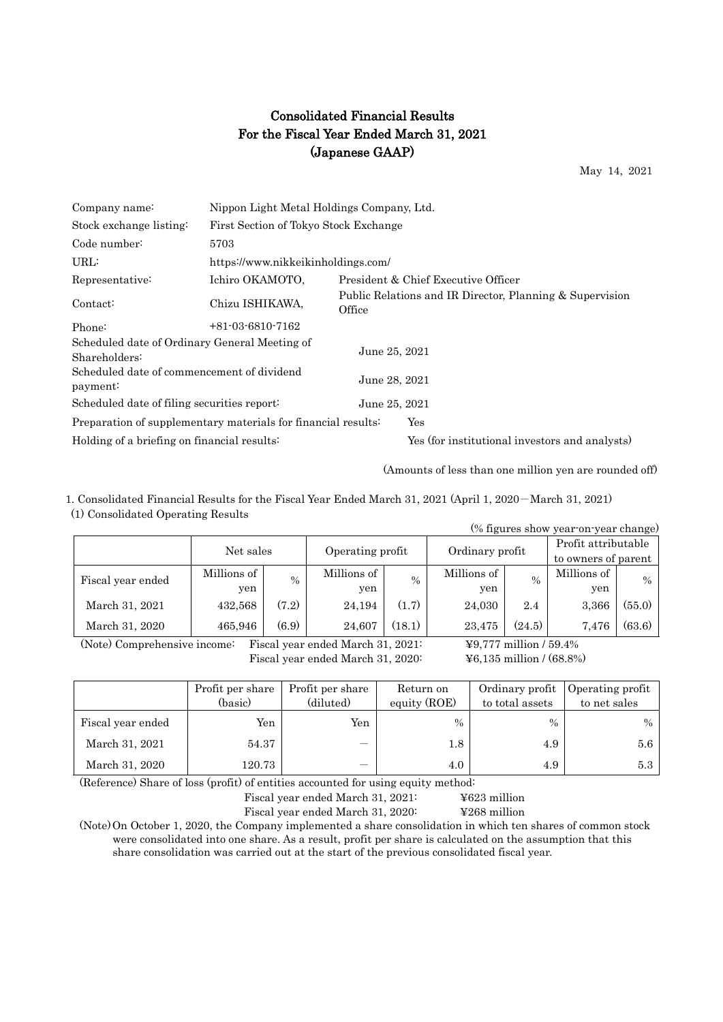## Consolidated Financial Results For the Fiscal Year Ended March 31, 2021 (Japanese GAAP)

May 14, 2021

| Company name:                                                  | Nippon Light Metal Holdings Company, Ltd. |                                       |                                                          |  |  |  |  |
|----------------------------------------------------------------|-------------------------------------------|---------------------------------------|----------------------------------------------------------|--|--|--|--|
| Stock exchange listing:                                        |                                           | First Section of Tokyo Stock Exchange |                                                          |  |  |  |  |
| Code number:                                                   | 5703                                      |                                       |                                                          |  |  |  |  |
| URL:                                                           | https://www.nikkeikinholdings.com/        |                                       |                                                          |  |  |  |  |
| Representative:                                                | Ichiro OKAMOTO,                           |                                       | President & Chief Executive Officer                      |  |  |  |  |
| Contact:                                                       | Chizu ISHIKAWA,                           | Office                                | Public Relations and IR Director, Planning & Supervision |  |  |  |  |
| Phone:                                                         | $+81-03-6810-7162$                        |                                       |                                                          |  |  |  |  |
| Scheduled date of Ordinary General Meeting of<br>Shareholders: |                                           | June 25, 2021                         |                                                          |  |  |  |  |
| Scheduled date of commencement of dividend<br>payment:         |                                           | June 28, 2021                         |                                                          |  |  |  |  |
| Scheduled date of filing securities report:                    |                                           | June 25, 2021                         |                                                          |  |  |  |  |
| Preparation of supplementary materials for financial results:  |                                           |                                       | Yes                                                      |  |  |  |  |
| Holding of a briefing on financial results:                    |                                           |                                       | Yes (for institutional investors and analysts)           |  |  |  |  |

(Amounts of less than one million yen are rounded off)

1. Consolidated Financial Results for the Fiscal Year Ended March 31, 2021 (April 1, 2020-March 31, 2021) (1) Consolidated Operating Results

| (% figures show year-on-year change) |             |               |                  |        |                 |        |                     |               |
|--------------------------------------|-------------|---------------|------------------|--------|-----------------|--------|---------------------|---------------|
|                                      | Net sales   |               |                  |        | Ordinary profit |        | Profit attributable |               |
|                                      |             |               | Operating profit |        |                 |        | to owners of parent |               |
| Fiscal year ended                    | Millions of | $\frac{0}{0}$ | Millions of      | $\%$   | Millions of     | $\%$   | Millions of         | $\frac{0}{0}$ |
|                                      | yen         |               | yen              |        | yen             |        | yen                 |               |
| March 31, 2021                       | 432,568     | (7.2)         | 24,194           | (1.7)  | 24,030          | 2.4    | 3,366               | (55.0)        |
| March 31, 2020                       | 465.946     | (6.9)         | 24.607           | (18.1) | 23.475          | (24.5) | 7.476               | (63.6)        |

(Note) Comprehensive income: Fiscal year ended March 31, 2021: ¥9,777 million / 59.4% Fiscal year ended March 31, 2020: ¥6,135 million / (68.8%)

|                   | Profit per share<br>(basic) | Profit per share<br>(diluted) | Return on<br>equity (ROE) | Ordinary profit<br>to total assets | Operating profit<br>to net sales |
|-------------------|-----------------------------|-------------------------------|---------------------------|------------------------------------|----------------------------------|
| Fiscal year ended | Yen                         | Yen                           | $\%$                      | $\%$                               | $\%$                             |
| March 31, 2021    | 54.37                       |                               | 1.8                       | 4.9                                | 5.6                              |
| March 31, 2020    | 120.73                      |                               | 4.0                       | 4.9                                | 5.3                              |

(Reference) Share of loss (profit) of entities accounted for using equity method:

Fiscal year ended March 31, 2021: ¥623 million

Fiscal year ended March 31, 2020: ¥268 million

(Note)On October 1, 2020, the Company implemented a share consolidation in which ten shares of common stock were consolidated into one share. As a result, profit per share is calculated on the assumption that this share consolidation was carried out at the start of the previous consolidated fiscal year.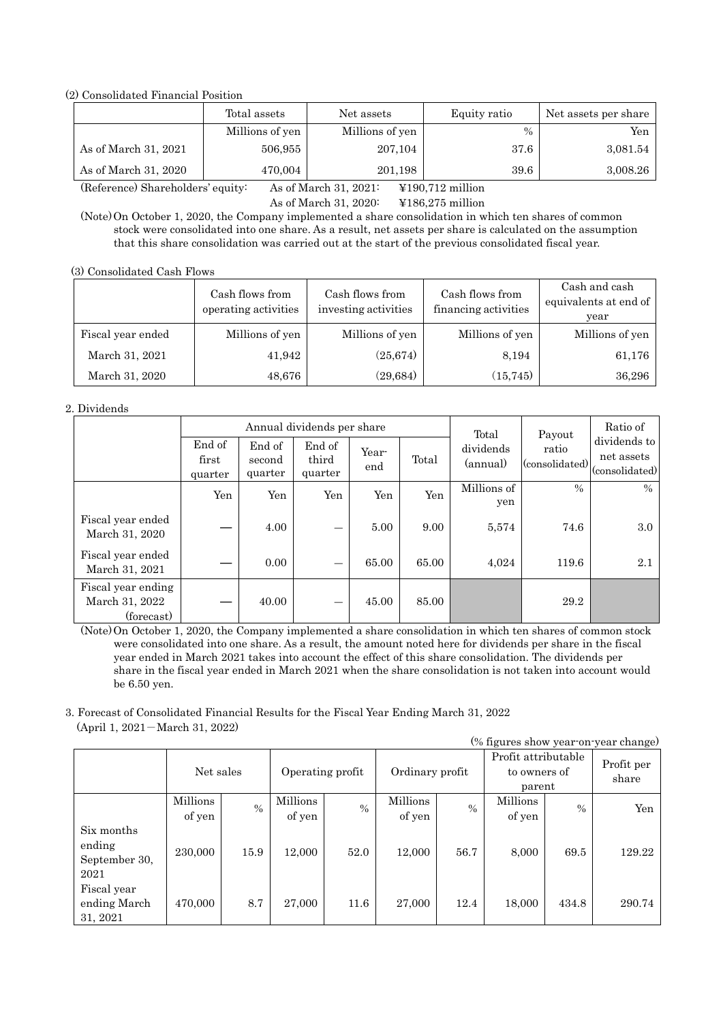(2) Consolidated Financial Position

|                      | Total assets    | Net assets      | Equity ratio | Net assets per share |
|----------------------|-----------------|-----------------|--------------|----------------------|
|                      | Millions of yen | Millions of yen | $\%$         | Yen                  |
| As of March 31, 2021 | 506,955         | 207,104         | 37.6         | 3,081.54             |
| As of March 31, 2020 | 470,004         | 201,198         | 39.6         | 3,008.26             |

(Reference) Shareholders' equity: As of March 31, 2021: ¥190,712 million

As of March 31, 2020: ¥186,275 million

(Note)On October 1, 2020, the Company implemented a share consolidation in which ten shares of common stock were consolidated into one share. As a result, net assets per share is calculated on the assumption that this share consolidation was carried out at the start of the previous consolidated fiscal year.

(3) Consolidated Cash Flows

|                   | Cash flows from<br>operating activities | Cash flows from<br>investing activities | Cash flows from<br>financing activities | Cash and cash<br>equivalents at end of<br>year |
|-------------------|-----------------------------------------|-----------------------------------------|-----------------------------------------|------------------------------------------------|
| Fiscal year ended | Millions of yen                         | Millions of yen                         | Millions of yen                         | Millions of yen                                |
| March 31, 2021    | 41,942                                  | (25, 674)                               | 8,194                                   | 61,176                                         |
| March 31, 2020    | 48,676                                  | (29, 684)                               | (15, 745)                               | 36,296                                         |

#### 2. Dividends

|                                                    |                            |                             | Annual dividends per share |              |       | Total                 | Payout                  | Ratio of                                     |
|----------------------------------------------------|----------------------------|-----------------------------|----------------------------|--------------|-------|-----------------------|-------------------------|----------------------------------------------|
|                                                    | End of<br>first<br>quarter | End of<br>second<br>quarter | End of<br>third<br>quarter | Year-<br>end | Total | dividends<br>(annual) | ratio<br>(consolidated) | dividends to<br>net assets<br>(consolidated) |
|                                                    | Yen                        | Yen                         | Yen                        | Yen          | Yen   | Millions of<br>yen    | $\frac{0}{0}$           | $\frac{0}{0}$                                |
| Fiscal year ended<br>March 31, 2020                |                            | 4.00                        |                            | 5.00         | 9.00  | 5,574                 | 74.6                    | 3.0                                          |
| Fiscal year ended<br>March 31, 2021                |                            | 0.00                        |                            | 65.00        | 65.00 | 4,024                 | 119.6                   | 2.1                                          |
| Fiscal year ending<br>March 31, 2022<br>(forecast) |                            | 40.00                       |                            | 45.00        | 85.00 |                       | 29.2                    |                                              |

(Note)On October 1, 2020, the Company implemented a share consolidation in which ten shares of common stock were consolidated into one share. As a result, the amount noted here for dividends per share in the fiscal year ended in March 2021 takes into account the effect of this share consolidation. The dividends per share in the fiscal year ended in March 2021 when the share consolidation is not taken into account would be 6.50 yen.

3. Forecast of Consolidated Financial Results for the Fiscal Year Ending March 31, 2022 (April 1, 2021-March 31, 2022)

| (% figures show year-on-year change)          |                    |               |                    |               |                    |               |                                               |       |                     |
|-----------------------------------------------|--------------------|---------------|--------------------|---------------|--------------------|---------------|-----------------------------------------------|-------|---------------------|
|                                               | Net sales          |               | Operating profit   |               | Ordinary profit    |               | Profit attributable<br>to owners of<br>parent |       | Profit per<br>share |
|                                               | Millions<br>of yen | $\frac{0}{0}$ | Millions<br>of yen | $\frac{0}{0}$ | Millions<br>of yen | $\frac{0}{0}$ | Millions<br>of yen                            | $\%$  | Yen                 |
| Six months<br>ending<br>September 30,<br>2021 | 230,000            | 15.9          | 12,000             | 52.0          | 12,000             | 56.7          | 8,000                                         | 69.5  | 129.22              |
| Fiscal year<br>ending March<br>31, 2021       | 470,000            | 8.7           | 27,000             | 11.6          | 27,000             | 12.4          | 18,000                                        | 434.8 | 290.74              |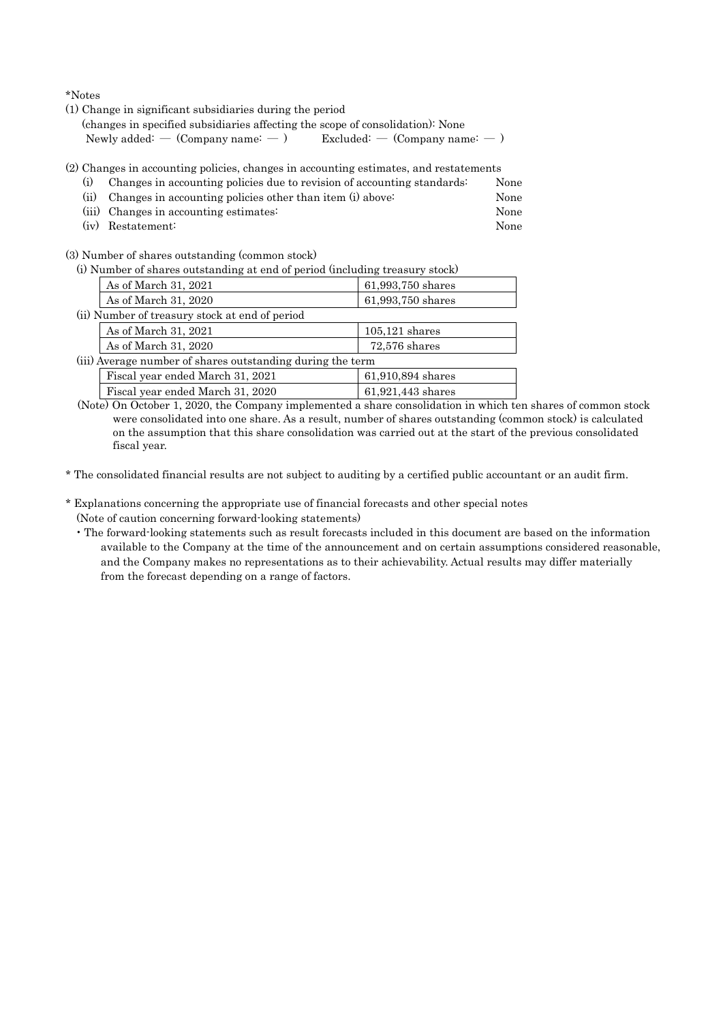\*Notes

(1) Change in significant subsidiaries during the period

(changes in specified subsidiaries affecting the scope of consolidation): None Newly added: —  $(Comparing name: -)$  Excluded: —  $(Comparing name: -)$ 

- (2) Changes in accounting policies, changes in accounting estimates, and restatements
	- (i) Changes in accounting policies due to revision of accounting standards: None (ii) Changes in accounting policies other than item (i) above: None
	- (iii) Changes in accounting estimates: None
	- (iv) Restatement: None

(3) Number of shares outstanding (common stock)

(i) Number of shares outstanding at end of period (including treasury stock)

| As of March 31, 2021                                       | 61,993,750 shares |  |  |  |
|------------------------------------------------------------|-------------------|--|--|--|
| As of March 31, 2020                                       | 61,993,750 shares |  |  |  |
| (ii) Number of treasury stock at end of period             |                   |  |  |  |
| As of March 31, 2021                                       | $105,121$ shares  |  |  |  |
| As of March 31, 2020                                       | $72,576$ shares   |  |  |  |
| (iii) Average number of shares outstanding during the term |                   |  |  |  |
| Fiscal year ended March 31, 2021                           | 61,910,894 shares |  |  |  |
| Fiscal year ended March 31, 2020                           | 61,921,443 shares |  |  |  |

(Note) On October 1, 2020, the Company implemented a share consolidation in which ten shares of common stock were consolidated into one share. As a result, number of shares outstanding (common stock) is calculated on the assumption that this share consolidation was carried out at the start of the previous consolidated fiscal year.

\* The consolidated financial results are not subject to auditing by a certified public accountant or an audit firm.

- \* Explanations concerning the appropriate use of financial forecasts and other special notes (Note of caution concerning forward-looking statements)
	- The forward-looking statements such as result forecasts included in this document are based on the information available to the Company at the time of the announcement and on certain assumptions considered reasonable, and the Company makes no representations as to their achievability. Actual results may differ materially from the forecast depending on a range of factors.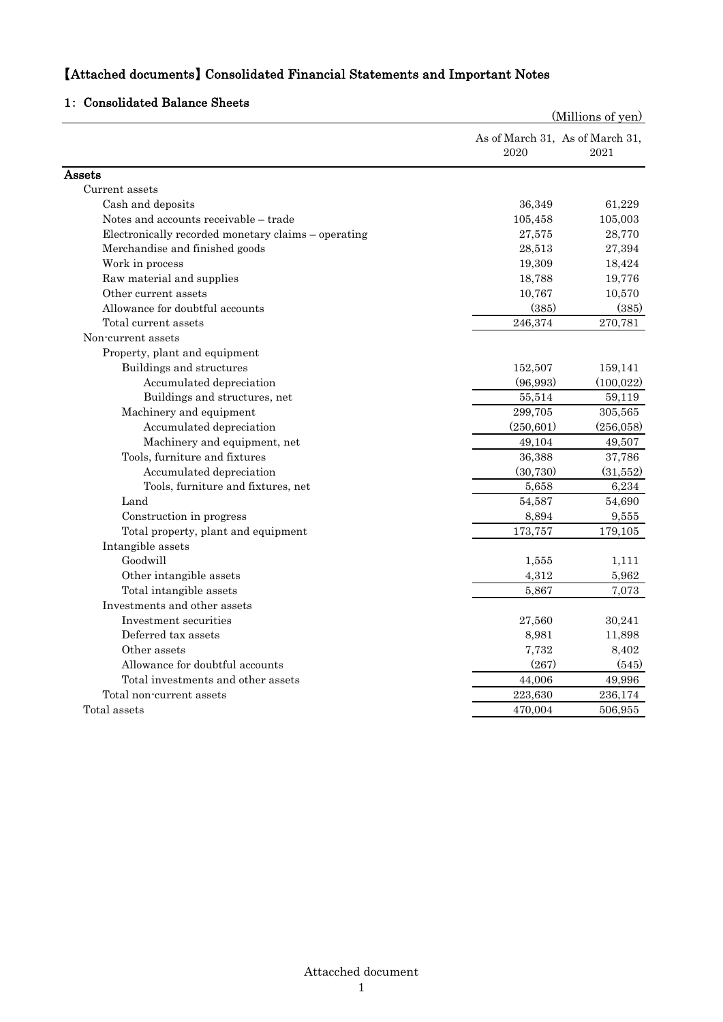## 【Attached documents】 Consolidated Financial Statements and Important Notes

### 1: Consolidated Balance Sheets

|                                                     |            | (Millions of yen)                       |
|-----------------------------------------------------|------------|-----------------------------------------|
|                                                     | 2020       | As of March 31, As of March 31,<br>2021 |
| Assets                                              |            |                                         |
| Current assets                                      |            |                                         |
| Cash and deposits                                   | 36,349     | 61,229                                  |
| Notes and accounts receivable – trade               | 105,458    | 105,003                                 |
| Electronically recorded monetary claims - operating | 27,575     | 28,770                                  |
| Merchandise and finished goods                      | 28,513     | 27,394                                  |
| Work in process                                     | 19,309     | 18,424                                  |
| Raw material and supplies                           | 18,788     | 19,776                                  |
| Other current assets                                | 10,767     | 10,570                                  |
| Allowance for doubtful accounts                     | (385)      | (385)                                   |
| Total current assets                                | 246,374    | 270,781                                 |
| Non-current assets                                  |            |                                         |
| Property, plant and equipment                       |            |                                         |
| Buildings and structures                            | 152,507    | 159,141                                 |
| Accumulated depreciation                            | (96,993)   | (100, 022)                              |
| Buildings and structures, net                       | 55,514     | 59,119                                  |
| Machinery and equipment                             | 299,705    | 305,565                                 |
| Accumulated depreciation                            | (250, 601) | (256, 058)                              |
| Machinery and equipment, net                        | 49,104     | 49,507                                  |
| Tools, furniture and fixtures                       | 36,388     | 37,786                                  |
| Accumulated depreciation                            | (30, 730)  | (31,552)                                |
| Tools, furniture and fixtures, net                  | 5,658      | 6,234                                   |
| Land                                                | 54,587     | 54,690                                  |
| Construction in progress                            | 8,894      | 9,555                                   |
| Total property, plant and equipment                 | 173,757    | 179,105                                 |
| Intangible assets                                   |            |                                         |
| Goodwill                                            | 1,555      | 1,111                                   |
| Other intangible assets                             | 4,312      | 5,962                                   |
| Total intangible assets                             | 5,867      | 7.073                                   |
| Investments and other assets                        |            |                                         |
| Investment securities                               | 27,560     | 30,241                                  |
| Deferred tax assets                                 | 8,981      | 11,898                                  |
| Other assets                                        | 7,732      | 8,402                                   |
| Allowance for doubtful accounts                     | (267)      | (545)                                   |
| Total investments and other assets                  | 44,006     | 49,996                                  |
| Total non-current assets                            | 223,630    | 236,174                                 |
| Total assets                                        | 470,004    | 506,955                                 |
|                                                     |            |                                         |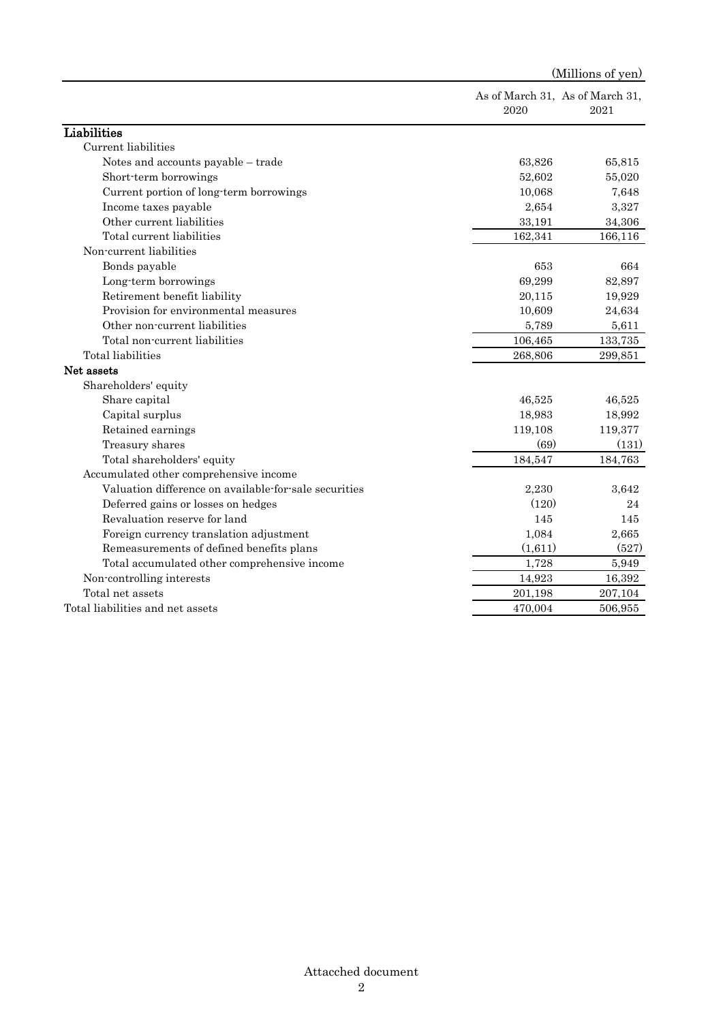|                                                       | 2020    | As of March 31, As of March 31,<br>2021 |
|-------------------------------------------------------|---------|-----------------------------------------|
| Liabilities                                           |         |                                         |
| Current liabilities                                   |         |                                         |
| Notes and accounts payable - trade                    | 63,826  | 65,815                                  |
| Short-term borrowings                                 | 52,602  | 55,020                                  |
| Current portion of long-term borrowings               | 10,068  | 7,648                                   |
| Income taxes payable                                  | 2,654   | 3,327                                   |
| Other current liabilities                             | 33,191  | 34,306                                  |
| Total current liabilities                             | 162,341 | 166,116                                 |
| Non-current liabilities                               |         |                                         |
| Bonds payable                                         | 653     | 664                                     |
| Long-term borrowings                                  | 69,299  | 82,897                                  |
| Retirement benefit liability                          | 20,115  | 19,929                                  |
| Provision for environmental measures                  | 10,609  | 24,634                                  |
| Other non-current liabilities                         | 5,789   | 5,611                                   |
| Total non-current liabilities                         | 106,465 | 133,735                                 |
| Total liabilities                                     | 268,806 | 299,851                                 |
| Net assets                                            |         |                                         |
| Shareholders' equity                                  |         |                                         |
| Share capital                                         | 46,525  | 46,525                                  |
| Capital surplus                                       | 18,983  | 18,992                                  |
| Retained earnings                                     | 119,108 | 119,377                                 |
| Treasury shares                                       | (69)    | (131)                                   |
| Total shareholders' equity                            | 184,547 | 184,763                                 |
| Accumulated other comprehensive income                |         |                                         |
| Valuation difference on available for sale securities | 2,230   | 3,642                                   |
| Deferred gains or losses on hedges                    | (120)   | 24                                      |
| Revaluation reserve for land                          | 145     | 145                                     |
| Foreign currency translation adjustment               | 1,084   | 2,665                                   |
| Remeasurements of defined benefits plans              | (1,611) | (527)                                   |
| Total accumulated other comprehensive income          | 1,728   | 5,949                                   |
| Non-controlling interests                             | 14,923  | 16,392                                  |
| Total net assets                                      | 201,198 | 207,104                                 |
| Total liabilities and net assets                      | 470,004 | 506,955                                 |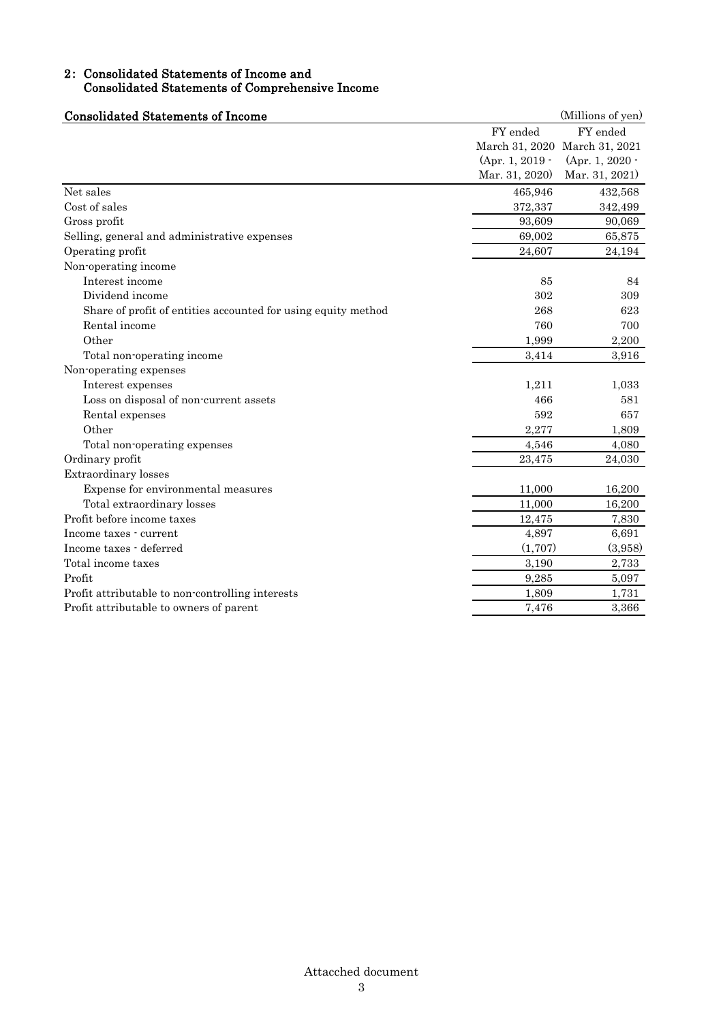### 2: Consolidated Statements of Income and Consolidated Statements of Comprehensive Income

| <b>Consolidated Statements of Income</b>                      |                   | (Millions of yen)             |
|---------------------------------------------------------------|-------------------|-------------------------------|
|                                                               | FY ended          | FY ended                      |
|                                                               |                   | March 31, 2020 March 31, 2021 |
|                                                               | $(Apr. 1, 2019 -$ | (Apr. 1, 2020 $\cdot$         |
|                                                               | Mar. 31, 2020)    | Mar. 31, 2021)                |
| Net sales                                                     | 465,946           | 432,568                       |
| Cost of sales                                                 | 372,337           | 342,499                       |
| Gross profit                                                  | 93,609            | 90,069                        |
| Selling, general and administrative expenses                  | 69,002            | 65,875                        |
| Operating profit                                              | 24,607            | 24,194                        |
| Non-operating income                                          |                   |                               |
| Interest income                                               | 85                | 84                            |
| Dividend income                                               | 302               | 309                           |
| Share of profit of entities accounted for using equity method | 268               | 623                           |
| Rental income                                                 | 760               | 700                           |
| Other                                                         | 1,999             | 2,200                         |
| Total non-operating income                                    | 3,414             | 3,916                         |
| Non-operating expenses                                        |                   |                               |
| Interest expenses                                             | 1,211             | 1,033                         |
| Loss on disposal of non-current assets                        | 466               | 581                           |
| Rental expenses                                               | 592               | 657                           |
| Other                                                         | 2,277             | 1,809                         |
| Total non-operating expenses                                  | 4,546             | 4,080                         |
| Ordinary profit                                               | 23,475            | 24,030                        |
| Extraordinary losses                                          |                   |                               |
| Expense for environmental measures                            | 11,000            | 16,200                        |
| Total extraordinary losses                                    | 11,000            | 16,200                        |
| Profit before income taxes                                    | 12,475            | 7,830                         |
| Income taxes - current                                        | 4,897             | 6,691                         |
| Income taxes - deferred                                       | (1,707)           | (3,958)                       |
| Total income taxes                                            | 3,190             | 2,733                         |
| Profit                                                        | 9,285             | 5,097                         |
| Profit attributable to non-controlling interests              | 1,809             | 1,731                         |
| Profit attributable to owners of parent                       | 7,476             | 3,366                         |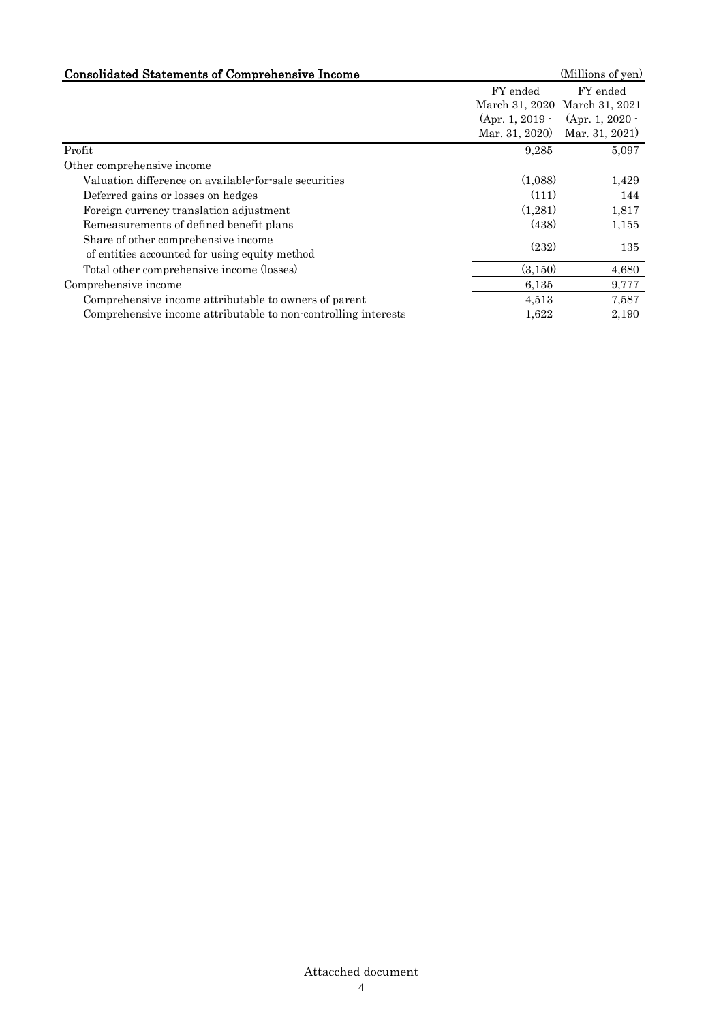| <b>Consolidated Statements of Comprehensive Income</b>         |                   | (Millions of yen)             |
|----------------------------------------------------------------|-------------------|-------------------------------|
|                                                                | FY ended          | FY ended                      |
|                                                                |                   | March 31, 2020 March 31, 2021 |
|                                                                | $(Apr. 1, 2019 -$ | (Apr. 1, 2020 -               |
|                                                                | Mar. 31, 2020)    | Mar. 31, 2021)                |
| Profit                                                         | 9,285             | 5,097                         |
| Other comprehensive income                                     |                   |                               |
| Valuation difference on available for sale securities          | (1,088)           | 1,429                         |
| Deferred gains or losses on hedges                             | (111)             | 144                           |
| Foreign currency translation adjustment                        | (1,281)           | 1,817                         |
| Remeasurements of defined benefit plans                        | (438)             | 1,155                         |
| Share of other comprehensive income                            | (232)             | 135                           |
| of entities accounted for using equity method                  |                   |                               |
| Total other comprehensive income (losses)                      | (3, 150)          | 4,680                         |
| Comprehensive income                                           | 6,135             | 9,777                         |
| Comprehensive income attributable to owners of parent          | 4,513             | 7,587                         |
| Comprehensive income attributable to non-controlling interests | 1,622             | 2,190                         |
|                                                                |                   |                               |